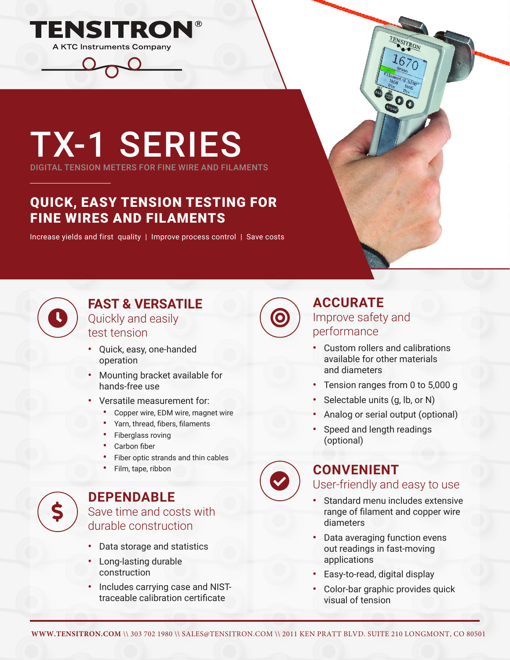

# TX-1 SERIES

DIGITAL TENSION METERS FOR FINE WIRE AND FILAMENTS

## QUICK, EASY TENSION TESTING FOR FINE WIRES AND FILAMENTS

Increase yields and first quality | Improve process control | Save costs



### **FAST & VERSATILE** Quickly and easily test tension

- **•** Quick, easy, one-handed operation
- **•** Mounting bracket available for hands-free use
- **•** Versatile measurement for:
	- **•** Copper wire, EDM wire, magnet wire
	- **•** Yarn, thread, fibers, filaments
	- **•** Fiberglass roving
	- **•** Carbon fiber
	- **•** Fiber optic strands and thin cables
	- **•** Film, tape, ribbon

\$

#### **DEPENDABLE** Save time and costs with durable construction

- **•** Data storage and statistics
- **•** Long-lasting durable construction
- **•** Includes carrying case and NISTtraceable calibration certificate

**ACCURATE** Improve safety and performance

- **•** Custom rollers and calibrations available for other materials and diameters
- **•** Tension ranges from 0 to 5,000 g
- **•** Selectable units (g, lb, or N)
- **•** Analog or serial output (optional)
- **•** Speed and length readings (optional)

# **CONVENIENT**

### User-friendly and easy to use

- **•** Standard menu includes extensive range of filament and copper wire diameters
- **•** Data averaging function evens out readings in fast-moving applications
- **•** Easy-to-read, digital display
- **•** Color-bar graphic provides quick visual of tension

 $\bullet$